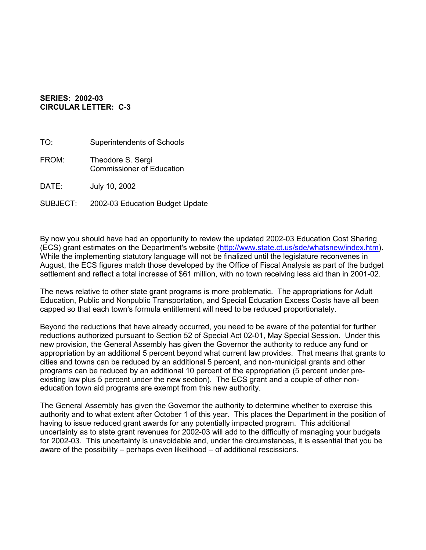## **SERIES: 2002-03 CIRCULAR LETTER: C-3**

TO: Superintendents of Schools FROM: Theodore S. Sergi Commissioner of Education DATE: July 10, 2002

SUBJECT: 2002-03 Education Budget Update

By now you should have had an opportunity to review the updated 2002-03 Education Cost Sharing (ECS) grant estimates on the Department's website (<http://www.state.ct.us/sde/whatsnew/index.htm>). While the implementing statutory language will not be finalized until the legislature reconvenes in August, the ECS figures match those developed by the Office of Fiscal Analysis as part of the budget settlement and reflect a total increase of \$61 million, with no town receiving less aid than in 2001-02.

The news relative to other state grant programs is more problematic. The appropriations for Adult Education, Public and Nonpublic Transportation, and Special Education Excess Costs have all been capped so that each town's formula entitlement will need to be reduced proportionately.

Beyond the reductions that have already occurred, you need to be aware of the potential for further reductions authorized pursuant to Section 52 of Special Act 02-01, May Special Session. Under this new provision, the General Assembly has given the Governor the authority to reduce any fund or appropriation by an additional 5 percent beyond what current law provides. That means that grants to cities and towns can be reduced by an additional 5 percent, and non-municipal grants and other programs can be reduced by an additional 10 percent of the appropriation (5 percent under preexisting law plus 5 percent under the new section). The ECS grant and a couple of other noneducation town aid programs are exempt from this new authority.

The General Assembly has given the Governor the authority to determine whether to exercise this authority and to what extent after October 1 of this year. This places the Department in the position of having to issue reduced grant awards for any potentially impacted program. This additional uncertainty as to state grant revenues for 2002-03 will add to the difficulty of managing your budgets for 2002-03. This uncertainty is unavoidable and, under the circumstances, it is essential that you be aware of the possibility – perhaps even likelihood – of additional rescissions.